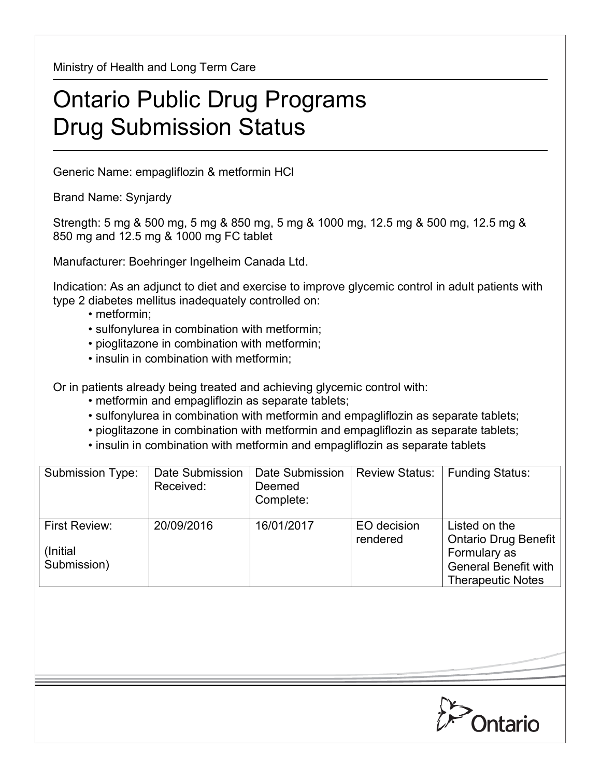Ministry of Health and Long Term Care

## Ontario Public Drug Programs Drug Submission Status

Generic Name: empagliflozin & metformin HCl

Brand Name: Synjardy

Strength: 5 mg & 500 mg, 5 mg & 850 mg, 5 mg & 1000 mg, 12.5 mg & 500 mg, 12.5 mg & 850 mg and 12.5 mg & 1000 mg FC tablet

Manufacturer: Boehringer Ingelheim Canada Ltd.

Indication: As an adjunct to diet and exercise to improve glycemic control in adult patients with type 2 diabetes mellitus inadequately controlled on:

- metformin;
- sulfonylurea in combination with metformin;
- pioglitazone in combination with metformin;
- insulin in combination with metformin;

Or in patients already being treated and achieving glycemic control with:

- metformin and empagliflozin as separate tablets;
- sulfonylurea in combination with metformin and empagliflozin as separate tablets;
- pioglitazone in combination with metformin and empagliflozin as separate tablets;
- insulin in combination with metformin and empagliflozin as separate tablets

| <b>Submission Type:</b>                   | Date Submission<br>Received: | Date Submission<br>Deemed<br>Complete: | <b>Review Status:</b>   | <b>Funding Status:</b>                                                                                                  |
|-------------------------------------------|------------------------------|----------------------------------------|-------------------------|-------------------------------------------------------------------------------------------------------------------------|
| First Review:<br>(Initial)<br>Submission) | 20/09/2016                   | 16/01/2017                             | EO decision<br>rendered | Listed on the<br><b>Ontario Drug Benefit</b><br>Formulary as<br><b>General Benefit with</b><br><b>Therapeutic Notes</b> |